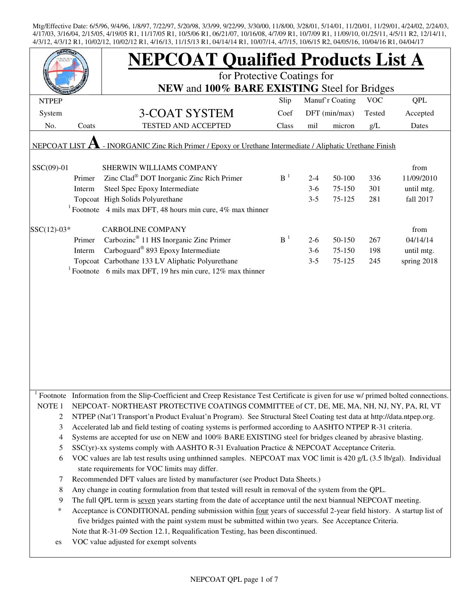|                                                                                                           |        | <b>NEPCOAT Qualified Products List A</b>                                                                                                                                                                                            |                |         |               |        |             |  |  |
|-----------------------------------------------------------------------------------------------------------|--------|-------------------------------------------------------------------------------------------------------------------------------------------------------------------------------------------------------------------------------------|----------------|---------|---------------|--------|-------------|--|--|
|                                                                                                           |        | for Protective Coatings for<br>NEW and 100% BARE EXISTING Steel for Bridges                                                                                                                                                         |                |         |               |        |             |  |  |
|                                                                                                           |        |                                                                                                                                                                                                                                     |                |         |               |        |             |  |  |
| System                                                                                                    |        | <b>3-COAT SYSTEM</b>                                                                                                                                                                                                                | Coef           |         | DFT (min/max) | Tested | Accepted    |  |  |
| No.                                                                                                       | Coats  | TESTED AND ACCEPTED                                                                                                                                                                                                                 | Class          | mil     | micron        | g/L    | Dates       |  |  |
| - INORGANIC Zinc Rich Primer / Epoxy or Urethane Intermediate / Aliphatic Urethane Finish<br>NEPCOAT LIST |        |                                                                                                                                                                                                                                     |                |         |               |        |             |  |  |
| SSC(09)-01                                                                                                |        | SHERWIN WILLIAMS COMPANY                                                                                                                                                                                                            |                |         |               |        | from        |  |  |
|                                                                                                           | Primer | Zinc Clad <sup>®</sup> DOT Inorganic Zinc Rich Primer                                                                                                                                                                               | B <sup>1</sup> | $2 - 4$ | 50-100        | 336    | 11/09/2010  |  |  |
|                                                                                                           | Interm | Steel Spec Epoxy Intermediate                                                                                                                                                                                                       |                | $3-6$   | 75-150        | 301    | until mtg.  |  |  |
|                                                                                                           |        | Topcoat High Solids Polyurethane                                                                                                                                                                                                    |                | $3 - 5$ | 75-125        | 281    | fall 2017   |  |  |
|                                                                                                           |        | <sup>1</sup> Footnote 4 mils max DFT, 48 hours min cure, 4% max thinner                                                                                                                                                             |                |         |               |        |             |  |  |
| $SSC(12)-03*$                                                                                             |        | <b>CARBOLINE COMPANY</b>                                                                                                                                                                                                            |                |         |               |        | from        |  |  |
|                                                                                                           | Primer | Carbozinc <sup>®</sup> 11 HS Inorganic Zinc Primer                                                                                                                                                                                  | B <sup>1</sup> | $2-6$   | 50-150        | 267    | 04/14/14    |  |  |
|                                                                                                           | Interm | Carboguard® 893 Epoxy Intermediate                                                                                                                                                                                                  |                | $3-6$   | 75-150        | 198    | until mtg.  |  |  |
|                                                                                                           |        | Topcoat Carbothane 133 LV Aliphatic Polyurethane                                                                                                                                                                                    |                | $3 - 5$ | 75-125        | 245    | spring 2018 |  |  |
|                                                                                                           |        | <sup>1</sup> Footnote 6 mils max DFT, 19 hrs min cure, 12% max thinner                                                                                                                                                              |                |         |               |        |             |  |  |
|                                                                                                           |        |                                                                                                                                                                                                                                     |                |         |               |        |             |  |  |
|                                                                                                           |        |                                                                                                                                                                                                                                     |                |         |               |        |             |  |  |
|                                                                                                           |        |                                                                                                                                                                                                                                     |                |         |               |        |             |  |  |
|                                                                                                           |        |                                                                                                                                                                                                                                     |                |         |               |        |             |  |  |
|                                                                                                           |        |                                                                                                                                                                                                                                     |                |         |               |        |             |  |  |
|                                                                                                           |        |                                                                                                                                                                                                                                     |                |         |               |        |             |  |  |
|                                                                                                           |        |                                                                                                                                                                                                                                     |                |         |               |        |             |  |  |
|                                                                                                           |        |                                                                                                                                                                                                                                     |                |         |               |        |             |  |  |
|                                                                                                           |        |                                                                                                                                                                                                                                     |                |         |               |        |             |  |  |
|                                                                                                           |        |                                                                                                                                                                                                                                     |                |         |               |        |             |  |  |
|                                                                                                           |        | Footnote Information from the Slip-Coefficient and Creep Resistance Test Certificate is given for use w/ primed bolted connections.                                                                                                 |                |         |               |        |             |  |  |
| NOTE <sub>1</sub>                                                                                         |        | NEPCOAT-NORTHEAST PROTECTIVE COATINGS COMMITTEE of CT, DE, ME, MA, NH, NJ, NY, PA, RI, VT                                                                                                                                           |                |         |               |        |             |  |  |
| 2                                                                                                         |        | NTPEP (Nat'l Transport'n Product Evaluat'n Program). See Structural Steel Coating test data at http://data.ntpep.org.<br>Accelerated lab and field testing of coating systems is performed according to AASHTO NTPEP R-31 criteria. |                |         |               |        |             |  |  |
| 3                                                                                                         |        | Systems are accepted for use on NEW and 100% BARE EXISTING steel for bridges cleaned by abrasive blasting.                                                                                                                          |                |         |               |        |             |  |  |
| 4                                                                                                         |        | SSC(yr)-xx systems comply with AASHTO R-31 Evaluation Practice & NEPCOAT Acceptance Criteria.                                                                                                                                       |                |         |               |        |             |  |  |
| 5<br>6                                                                                                    |        | VOC values are lab test results using unthinned samples. NEPCOAT max VOC limit is 420 g/L (3.5 lb/gal). Individual                                                                                                                  |                |         |               |        |             |  |  |
|                                                                                                           |        | state requirements for VOC limits may differ.                                                                                                                                                                                       |                |         |               |        |             |  |  |
| 7                                                                                                         |        | Recommended DFT values are listed by manufacturer (see Product Data Sheets.)                                                                                                                                                        |                |         |               |        |             |  |  |
| 8                                                                                                         |        | Any change in coating formulation from that tested will result in removal of the system from the QPL.                                                                                                                               |                |         |               |        |             |  |  |
| 9                                                                                                         |        | The full QPL term is seven years starting from the date of acceptance until the next biannual NEPCOAT meeting.                                                                                                                      |                |         |               |        |             |  |  |
| ∗                                                                                                         |        | Acceptance is CONDITIONAL pending submission within four years of successful 2-year field history. A startup list of                                                                                                                |                |         |               |        |             |  |  |
|                                                                                                           |        | five bridges painted with the paint system must be submitted within two years. See Acceptance Criteria.                                                                                                                             |                |         |               |        |             |  |  |
|                                                                                                           |        | Note that R-31-09 Section 12.1, Requalification Testing, has been discontinued.                                                                                                                                                     |                |         |               |        |             |  |  |
| es                                                                                                        |        | VOC value adjusted for exempt solvents                                                                                                                                                                                              |                |         |               |        |             |  |  |
|                                                                                                           |        |                                                                                                                                                                                                                                     |                |         |               |        |             |  |  |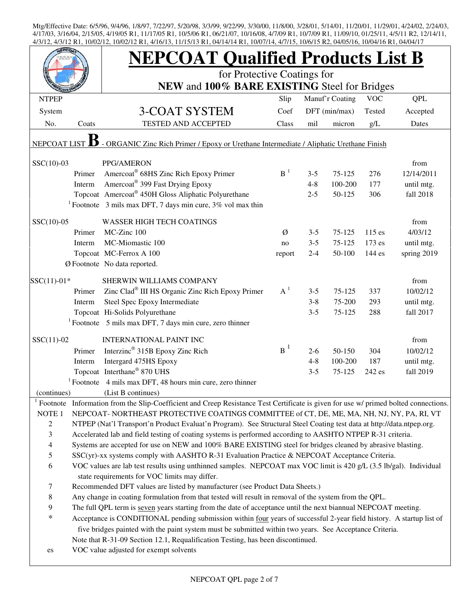|                   |        | <b>NEPCOAT Qualified Products List B</b>                                                                                                                                              |                |         |                 |            |             |  |  |  |
|-------------------|--------|---------------------------------------------------------------------------------------------------------------------------------------------------------------------------------------|----------------|---------|-----------------|------------|-------------|--|--|--|
|                   |        | for Protective Coatings for                                                                                                                                                           |                |         |                 |            |             |  |  |  |
|                   |        | NEW and 100% BARE EXISTING Steel for Bridges                                                                                                                                          |                |         |                 |            |             |  |  |  |
| <b>NTPEP</b>      |        |                                                                                                                                                                                       | Slip           |         | Manuf'r Coating | <b>VOC</b> | <b>QPL</b>  |  |  |  |
| System            |        | <b>3-COAT SYSTEM</b>                                                                                                                                                                  | Coef           |         | DFT (min/max)   | Tested     | Accepted    |  |  |  |
| No.               | Coats  | TESTED AND ACCEPTED                                                                                                                                                                   | Class          | mil     | micron          | g/L        | Dates       |  |  |  |
| NEPCOAT LIST      |        | - ORGANIC Zinc Rich Primer / Epoxy or Urethane Intermediate / Aliphatic Urethane Finish                                                                                               |                |         |                 |            |             |  |  |  |
| $SSC(10)-03$      |        | PPG/AMERON                                                                                                                                                                            |                |         |                 |            | from        |  |  |  |
|                   | Primer | Amercoat <sup>®</sup> 68HS Zinc Rich Epoxy Primer                                                                                                                                     | B <sup>1</sup> | $3 - 5$ | $75 - 125$      | 276        | 12/14/2011  |  |  |  |
|                   | Interm | Amercoat <sup>®</sup> 399 Fast Drying Epoxy                                                                                                                                           |                | $4 - 8$ | 100-200         | 177        | until mtg.  |  |  |  |
|                   |        | Topcoat Amercoat® 450H Gloss Aliphatic Polyurethane                                                                                                                                   |                | $2 - 5$ | 50-125          | 306        | fall 2018   |  |  |  |
|                   |        | <sup>1</sup> Footnote 3 mils max DFT, 7 days min cure, $3\%$ vol max thin                                                                                                             |                |         |                 |            |             |  |  |  |
| $SSC(10)-05$      |        | <b>WASSER HIGH TECH COATINGS</b>                                                                                                                                                      |                |         |                 |            | from        |  |  |  |
|                   | Primer | MC-Zinc 100                                                                                                                                                                           | Ø              | $3 - 5$ | 75-125          | $115$ es   | 4/03/12     |  |  |  |
|                   | Interm | MC-Miomastic 100                                                                                                                                                                      | no             | $3 - 5$ | 75-125          | 173 es     | until mtg.  |  |  |  |
|                   |        | Topcoat MC-Ferrox A 100                                                                                                                                                               | report         | $2 - 4$ | 50-100          | 144 es     | spring 2019 |  |  |  |
|                   |        | Ø Footnote No data reported.                                                                                                                                                          |                |         |                 |            |             |  |  |  |
| $SSC(11)-01*$     |        | SHERWIN WILLIAMS COMPANY                                                                                                                                                              |                |         |                 |            | from        |  |  |  |
|                   | Primer | Zinc Clad® III HS Organic Zinc Rich Epoxy Primer                                                                                                                                      | $A^1$          | $3 - 5$ | 75-125          | 337        | 10/02/12    |  |  |  |
|                   | Interm | Steel Spec Epoxy Intermediate                                                                                                                                                         |                | $3 - 8$ | 75-200          | 293        | until mtg.  |  |  |  |
|                   |        | Topcoat Hi-Solids Polyurethane                                                                                                                                                        |                | $3 - 5$ | 75-125          | 288        | fall 2017   |  |  |  |
|                   |        | <sup>1</sup> Footnote 5 mils max DFT, 7 days min cure, zero thinner                                                                                                                   |                |         |                 |            |             |  |  |  |
| $SSC(11)-02$      |        | <b>INTERNATIONAL PAINT INC</b>                                                                                                                                                        |                |         |                 |            | from        |  |  |  |
|                   | Primer | Interzinc <sup>®</sup> 315B Epoxy Zinc Rich                                                                                                                                           | $B^1$          | $2-6$   | 50-150          | 304        | 10/02/12    |  |  |  |
|                   | Interm | Intergard 475HS Epoxy                                                                                                                                                                 |                | $4 - 8$ | 100-200         | 187        | until mtg.  |  |  |  |
|                   |        | Topcoat Interthane® 870 UHS                                                                                                                                                           |                | $3 - 5$ | 75-125          | 242 es     | fall 2019   |  |  |  |
|                   |        | $1$ Footnote 4 mils max DFT, 48 hours min cure, zero thinner                                                                                                                          |                |         |                 |            |             |  |  |  |
| (continues)       |        | (List B continues)                                                                                                                                                                    |                |         |                 |            |             |  |  |  |
| $1$ Footnote      |        | Information from the Slip-Coefficient and Creep Resistance Test Certificate is given for use w/ primed bolted connections.                                                            |                |         |                 |            |             |  |  |  |
| NOTE 1            |        | NEPCOAT-NORTHEAST PROTECTIVE COATINGS COMMITTEE of CT, DE, ME, MA, NH, NJ, NY, PA, RI, VT                                                                                             |                |         |                 |            |             |  |  |  |
| $\sqrt{2}$        |        | NTPEP (Nat'l Transport'n Product Evaluat'n Program). See Structural Steel Coating test data at http://data.ntpep.org.                                                                 |                |         |                 |            |             |  |  |  |
| 3                 |        | Accelerated lab and field testing of coating systems is performed according to AASHTO NTPEP R-31 criteria.                                                                            |                |         |                 |            |             |  |  |  |
| 4                 |        | Systems are accepted for use on NEW and 100% BARE EXISTING steel for bridges cleaned by abrasive blasting.                                                                            |                |         |                 |            |             |  |  |  |
| 5                 |        | SSC(yr)-xx systems comply with AASHTO R-31 Evaluation Practice & NEPCOAT Acceptance Criteria.                                                                                         |                |         |                 |            |             |  |  |  |
| 6                 |        | VOC values are lab test results using unthinned samples. NEPCOAT max VOC limit is 420 g/L (3.5 lb/gal). Individual                                                                    |                |         |                 |            |             |  |  |  |
|                   |        | state requirements for VOC limits may differ.                                                                                                                                         |                |         |                 |            |             |  |  |  |
| $\tau$<br>$\,8\,$ |        | Recommended DFT values are listed by manufacturer (see Product Data Sheets.)<br>Any change in coating formulation from that tested will result in removal of the system from the QPL. |                |         |                 |            |             |  |  |  |
| 9                 |        | The full QPL term is seven years starting from the date of acceptance until the next biannual NEPCOAT meeting.                                                                        |                |         |                 |            |             |  |  |  |
| $\ast$            |        |                                                                                                                                                                                       |                |         |                 |            |             |  |  |  |
|                   |        | Acceptance is CONDITIONAL pending submission within four years of successful 2-year field history. A startup list of                                                                  |                |         |                 |            |             |  |  |  |
|                   |        | five bridges painted with the paint system must be submitted within two years. See Acceptance Criteria.                                                                               |                |         |                 |            |             |  |  |  |
|                   |        | Note that R-31-09 Section 12.1, Requalification Testing, has been discontinued.<br>VOC value adjusted for exempt solvents                                                             |                |         |                 |            |             |  |  |  |
| es                |        |                                                                                                                                                                                       |                |         |                 |            |             |  |  |  |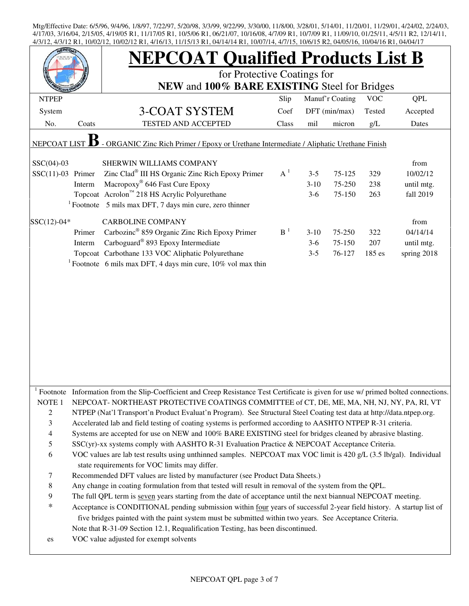| <b>JEPCO</b>                                                                                            |        | 7/3/12 K1, 10/02/12, 10/02/12 K1, 7/10/13, 11/13/13 K1, 07/17/17 K1, 10/07/17, 7/7/13, 10/07/13 K2, 07/03/10, 10/07/10 K1, 07/07/1<br><b>NEPCOAT Qualified Products List B</b><br>for Protective Coatings for<br>NEW and 100% BARE EXISTING Steel for Bridges                                                      |                |          |               |        |             |  |  |
|---------------------------------------------------------------------------------------------------------|--------|--------------------------------------------------------------------------------------------------------------------------------------------------------------------------------------------------------------------------------------------------------------------------------------------------------------------|----------------|----------|---------------|--------|-------------|--|--|
|                                                                                                         |        |                                                                                                                                                                                                                                                                                                                    |                |          |               |        |             |  |  |
| System                                                                                                  |        | 3-COAT SYSTEM                                                                                                                                                                                                                                                                                                      | Coef           |          | DFT (min/max) | Tested | Accepted    |  |  |
| No.                                                                                                     | Coats  | TESTED AND ACCEPTED                                                                                                                                                                                                                                                                                                | Class          | mil      | micron        | g/L    | Dates       |  |  |
| - ORGANIC Zinc Rich Primer / Epoxy or Urethane Intermediate / Aliphatic Urethane Finish<br>NEPCOAT LIST |        |                                                                                                                                                                                                                                                                                                                    |                |          |               |        |             |  |  |
| $SSC(04)-03$                                                                                            |        | SHERWIN WILLIAMS COMPANY                                                                                                                                                                                                                                                                                           |                |          |               |        | from        |  |  |
| $SSC(11)-03$ Primer                                                                                     |        | Zinc Clad® III HS Organic Zinc Rich Epoxy Primer                                                                                                                                                                                                                                                                   | $A^1$          | $3 - 5$  | 75-125        | 329    | 10/02/12    |  |  |
|                                                                                                         | Interm | Macropoxy <sup>®</sup> 646 Fast Cure Epoxy                                                                                                                                                                                                                                                                         |                | $3 - 10$ | 75-250        | 238    | until mtg.  |  |  |
|                                                                                                         |        | Topcoat Acrolon™ 218 HS Acrylic Polyurethane                                                                                                                                                                                                                                                                       |                | $3-6$    | 75-150        | 263    | fall 2019   |  |  |
|                                                                                                         |        | $1$ Footnote 5 mils max DFT, 7 days min cure, zero thinner                                                                                                                                                                                                                                                         |                |          |               |        |             |  |  |
| $SSC(12)-04*$                                                                                           |        | <b>CARBOLINE COMPANY</b>                                                                                                                                                                                                                                                                                           |                |          |               |        | from        |  |  |
|                                                                                                         | Primer | Carbozinc <sup>®</sup> 859 Organic Zinc Rich Epoxy Primer                                                                                                                                                                                                                                                          | B <sup>1</sup> | $3-10$   | 75-250        | 322    | 04/14/14    |  |  |
|                                                                                                         | Interm | Carboguard <sup>®</sup> 893 Epoxy Intermediate                                                                                                                                                                                                                                                                     |                | $3-6$    | 75-150        | 207    | until mtg.  |  |  |
|                                                                                                         |        | Topcoat Carbothane 133 VOC Aliphatic Polyurethane                                                                                                                                                                                                                                                                  |                | $3 - 5$  | 76-127        | 185 es | spring 2018 |  |  |
|                                                                                                         |        | <sup>1</sup> Footnote 6 mils max DFT, 4 days min cure, $10\%$ vol max thin                                                                                                                                                                                                                                         |                |          |               |        |             |  |  |
|                                                                                                         |        |                                                                                                                                                                                                                                                                                                                    |                |          |               |        |             |  |  |
|                                                                                                         |        | Footnote Information from the Slip-Coefficient and Creep Resistance Test Certificate is given for use w/ primed bolted connections.                                                                                                                                                                                |                |          |               |        |             |  |  |
| NOTE <sub>1</sub>                                                                                       |        | NEPCOAT-NORTHEAST PROTECTIVE COATINGS COMMITTEE of CT, DE, ME, MA, NH, NJ, NY, PA, RI, VT                                                                                                                                                                                                                          |                |          |               |        |             |  |  |
| $\overline{c}$                                                                                          |        | NTPEP (Nat'l Transport'n Product Evaluat'n Program). See Structural Steel Coating test data at http://data.ntpep.org.                                                                                                                                                                                              |                |          |               |        |             |  |  |
| 3                                                                                                       |        | Accelerated lab and field testing of coating systems is performed according to AASHTO NTPEP R-31 criteria.                                                                                                                                                                                                         |                |          |               |        |             |  |  |
| $\overline{4}$                                                                                          |        | Systems are accepted for use on NEW and 100% BARE EXISTING steel for bridges cleaned by abrasive blasting.                                                                                                                                                                                                         |                |          |               |        |             |  |  |
| $\mathfrak s$                                                                                           |        | SSC(yr)-xx systems comply with AASHTO R-31 Evaluation Practice & NEPCOAT Acceptance Criteria.                                                                                                                                                                                                                      |                |          |               |        |             |  |  |
| 6                                                                                                       |        | VOC values are lab test results using unthinned samples. NEPCOAT max VOC limit is 420 g/L (3.5 lb/gal). Individual<br>state requirements for VOC limits may differ.                                                                                                                                                |                |          |               |        |             |  |  |
| 7                                                                                                       |        | Recommended DFT values are listed by manufacturer (see Product Data Sheets.)                                                                                                                                                                                                                                       |                |          |               |        |             |  |  |
| 8                                                                                                       |        | Any change in coating formulation from that tested will result in removal of the system from the QPL.                                                                                                                                                                                                              |                |          |               |        |             |  |  |
| 9                                                                                                       |        | The full QPL term is seven years starting from the date of acceptance until the next biannual NEPCOAT meeting.                                                                                                                                                                                                     |                |          |               |        |             |  |  |
| $\ast$                                                                                                  |        | Acceptance is CONDITIONAL pending submission within four years of successful 2-year field history. A startup list of<br>five bridges painted with the paint system must be submitted within two years. See Acceptance Criteria.<br>Note that R-31-09 Section 12.1, Requalification Testing, has been discontinued. |                |          |               |        |             |  |  |
| es                                                                                                      |        | VOC value adjusted for exempt solvents                                                                                                                                                                                                                                                                             |                |          |               |        |             |  |  |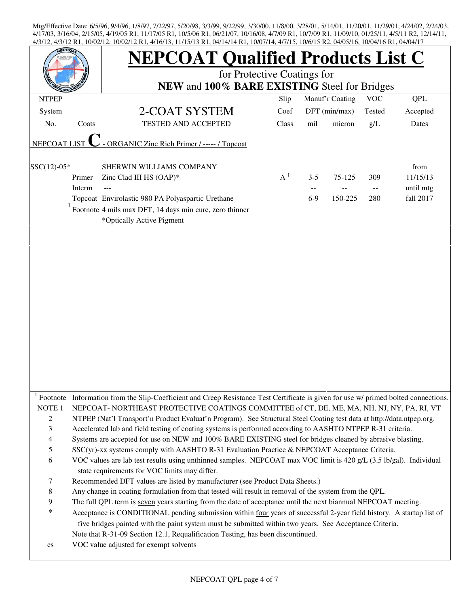| <b>EPCO</b>                              |        | <b>NEPCOAT Qualified Products List C</b><br>for Protective Coatings for                                                                                                                                                                                                                                                          |       |         |                 |                           |            |  |  |  |
|------------------------------------------|--------|----------------------------------------------------------------------------------------------------------------------------------------------------------------------------------------------------------------------------------------------------------------------------------------------------------------------------------|-------|---------|-----------------|---------------------------|------------|--|--|--|
|                                          |        | NEW and 100% BARE EXISTING Steel for Bridges                                                                                                                                                                                                                                                                                     |       |         |                 |                           |            |  |  |  |
| <b>NTPEP</b>                             |        |                                                                                                                                                                                                                                                                                                                                  | Slip  |         | Manuf'r Coating | <b>VOC</b>                | <b>QPL</b> |  |  |  |
| System                                   |        | 2-COAT SYSTEM                                                                                                                                                                                                                                                                                                                    | Coef  |         | DFT (min/max)   | Tested                    | Accepted   |  |  |  |
| No.                                      | Coats  | TESTED AND ACCEPTED                                                                                                                                                                                                                                                                                                              | Class | mil     | micron          | g/L                       | Dates      |  |  |  |
| <b>NEPCOAT LIST</b>                      |        | - ORGANIC Zinc Rich Primer / ----- / Topcoat                                                                                                                                                                                                                                                                                     |       |         |                 |                           |            |  |  |  |
| SSC(12)-05*                              |        | SHERWIN WILLIAMS COMPANY                                                                                                                                                                                                                                                                                                         |       |         |                 |                           | from       |  |  |  |
|                                          | Primer | Zinc Clad III HS (OAP)*                                                                                                                                                                                                                                                                                                          | $A^1$ | $3 - 5$ | 75-125          | 309                       | 11/15/13   |  |  |  |
|                                          | Interm |                                                                                                                                                                                                                                                                                                                                  |       | --      |                 | $\mathcal{L} \mathcal{L}$ | until mtg  |  |  |  |
|                                          |        | Topcoat Envirolastic 980 PA Polyaspartic Urethane                                                                                                                                                                                                                                                                                |       | $6-9$   | 150-225         | 280                       | fall 2017  |  |  |  |
|                                          |        | Footnote 4 mils max DFT, 14 days min cure, zero thinner<br>*Optically Active Pigment                                                                                                                                                                                                                                             |       |         |                 |                           |            |  |  |  |
|                                          |        | <sup>1</sup> Footnote Information from the Slip-Coefficient and Creep Resistance Test Certificate is given for use w/ primed bolted connections.                                                                                                                                                                                 |       |         |                 |                           |            |  |  |  |
| NOTE <sub>1</sub><br>$\overline{c}$<br>3 |        | NEPCOAT-NORTHEAST PROTECTIVE COATINGS COMMITTEE of CT, DE, ME, MA, NH, NJ, NY, PA, RI, VT<br>NTPEP (Nat'l Transport'n Product Evaluat'n Program). See Structural Steel Coating test data at http://data.ntpep.org.<br>Accelerated lab and field testing of coating systems is performed according to AASHTO NTPEP R-31 criteria. |       |         |                 |                           |            |  |  |  |
| $\overline{4}$                           |        | Systems are accepted for use on NEW and 100% BARE EXISTING steel for bridges cleaned by abrasive blasting.                                                                                                                                                                                                                       |       |         |                 |                           |            |  |  |  |
| 5                                        |        | SSC(yr)-xx systems comply with AASHTO R-31 Evaluation Practice & NEPCOAT Acceptance Criteria.                                                                                                                                                                                                                                    |       |         |                 |                           |            |  |  |  |
| 6                                        |        | VOC values are lab test results using unthinned samples. NEPCOAT max VOC limit is 420 g/L (3.5 lb/gal). Individual<br>state requirements for VOC limits may differ.                                                                                                                                                              |       |         |                 |                           |            |  |  |  |
| 7                                        |        | Recommended DFT values are listed by manufacturer (see Product Data Sheets.)                                                                                                                                                                                                                                                     |       |         |                 |                           |            |  |  |  |
| $\,$ 8 $\,$                              |        | Any change in coating formulation from that tested will result in removal of the system from the QPL.                                                                                                                                                                                                                            |       |         |                 |                           |            |  |  |  |
| 9                                        |        | The full QPL term is seven years starting from the date of acceptance until the next biannual NEPCOAT meeting.                                                                                                                                                                                                                   |       |         |                 |                           |            |  |  |  |
| $\ast$                                   |        | Acceptance is CONDITIONAL pending submission within four years of successful 2-year field history. A startup list of<br>five bridges painted with the paint system must be submitted within two years. See Acceptance Criteria.<br>Note that R-31-09 Section 12.1, Requalification Testing, has been discontinued.               |       |         |                 |                           |            |  |  |  |
| es                                       |        | VOC value adjusted for exempt solvents                                                                                                                                                                                                                                                                                           |       |         |                 |                           |            |  |  |  |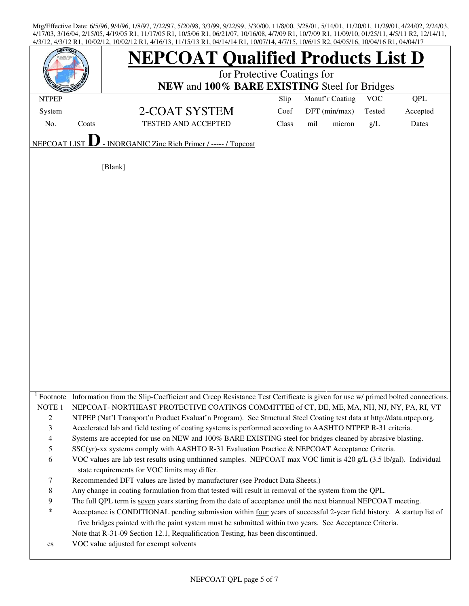|                                                       |       | <b>NEPCOAT Qualified Products List D</b><br>for Protective Coatings for                                                                                             |       |               |        |        |            |
|-------------------------------------------------------|-------|---------------------------------------------------------------------------------------------------------------------------------------------------------------------|-------|---------------|--------|--------|------------|
|                                                       |       | NEW and 100% BARE EXISTING Steel for Bridges                                                                                                                        |       |               |        |        |            |
| Slip<br>Manuf'r Coating<br><b>VOC</b><br><b>NTPEP</b> |       |                                                                                                                                                                     |       |               |        |        | <b>QPL</b> |
| System                                                |       | 2-COAT SYSTEM                                                                                                                                                       | Coef  | DFT (min/max) |        | Tested | Accepted   |
| No.                                                   | Coats | TESTED AND ACCEPTED                                                                                                                                                 | Class | mil           | micron | g/L    | Dates      |
| <b>NEPCOAT</b>                                        |       | - INORGANIC Zinc Rich Primer / ----- / Topcoat                                                                                                                      |       |               |        |        |            |
|                                                       |       | [Blank]                                                                                                                                                             |       |               |        |        |            |
|                                                       |       |                                                                                                                                                                     |       |               |        |        |            |
|                                                       |       |                                                                                                                                                                     |       |               |        |        |            |
|                                                       |       |                                                                                                                                                                     |       |               |        |        |            |
|                                                       |       |                                                                                                                                                                     |       |               |        |        |            |
|                                                       |       |                                                                                                                                                                     |       |               |        |        |            |
|                                                       |       |                                                                                                                                                                     |       |               |        |        |            |
|                                                       |       |                                                                                                                                                                     |       |               |        |        |            |
|                                                       |       |                                                                                                                                                                     |       |               |        |        |            |
|                                                       |       |                                                                                                                                                                     |       |               |        |        |            |
|                                                       |       |                                                                                                                                                                     |       |               |        |        |            |
|                                                       |       |                                                                                                                                                                     |       |               |        |        |            |
|                                                       |       |                                                                                                                                                                     |       |               |        |        |            |
|                                                       |       |                                                                                                                                                                     |       |               |        |        |            |
|                                                       |       |                                                                                                                                                                     |       |               |        |        |            |
|                                                       |       |                                                                                                                                                                     |       |               |        |        |            |
|                                                       |       |                                                                                                                                                                     |       |               |        |        |            |
|                                                       |       |                                                                                                                                                                     |       |               |        |        |            |
|                                                       |       |                                                                                                                                                                     |       |               |        |        |            |
|                                                       |       |                                                                                                                                                                     |       |               |        |        |            |
|                                                       |       |                                                                                                                                                                     |       |               |        |        |            |
|                                                       |       | Footnote Information from the Slip-Coefficient and Creep Resistance Test Certificate is given for use w/ primed bolted connections.                                 |       |               |        |        |            |
| NOTE <sub>1</sub>                                     |       | NEPCOAT-NORTHEAST PROTECTIVE COATINGS COMMITTEE of CT, DE, ME, MA, NH, NJ, NY, PA, RI, VT                                                                           |       |               |        |        |            |
| $\overline{c}$                                        |       | NTPEP (Nat'l Transport'n Product Evaluat'n Program). See Structural Steel Coating test data at http://data.ntpep.org.                                               |       |               |        |        |            |
| $\mathfrak{Z}$                                        |       | Accelerated lab and field testing of coating systems is performed according to AASHTO NTPEP R-31 criteria.                                                          |       |               |        |        |            |
| $\overline{\mathcal{A}}$                              |       | Systems are accepted for use on NEW and 100% BARE EXISTING steel for bridges cleaned by abrasive blasting.                                                          |       |               |        |        |            |
| 5                                                     |       | SSC(yr)-xx systems comply with AASHTO R-31 Evaluation Practice & NEPCOAT Acceptance Criteria.                                                                       |       |               |        |        |            |
| 6                                                     |       | VOC values are lab test results using unthinned samples. NEPCOAT max VOC limit is 420 g/L (3.5 lb/gal). Individual<br>state requirements for VOC limits may differ. |       |               |        |        |            |
| 7                                                     |       | Recommended DFT values are listed by manufacturer (see Product Data Sheets.)                                                                                        |       |               |        |        |            |
| 8                                                     |       | Any change in coating formulation from that tested will result in removal of the system from the QPL.                                                               |       |               |        |        |            |
| 9                                                     |       | The full QPL term is seven years starting from the date of acceptance until the next biannual NEPCOAT meeting.                                                      |       |               |        |        |            |
| $\ast$                                                |       | Acceptance is CONDITIONAL pending submission within four years of successful 2-year field history. A startup list of                                                |       |               |        |        |            |
|                                                       |       | five bridges painted with the paint system must be submitted within two years. See Acceptance Criteria.                                                             |       |               |        |        |            |
|                                                       |       | Note that R-31-09 Section 12.1, Requalification Testing, has been discontinued.                                                                                     |       |               |        |        |            |
| es                                                    |       | VOC value adjusted for exempt solvents                                                                                                                              |       |               |        |        |            |
|                                                       |       |                                                                                                                                                                     |       |               |        |        |            |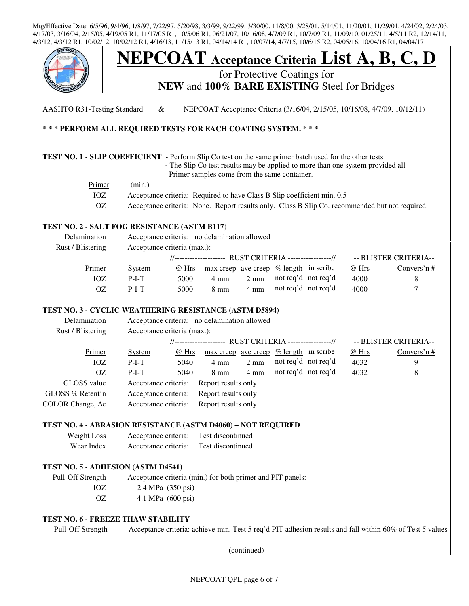